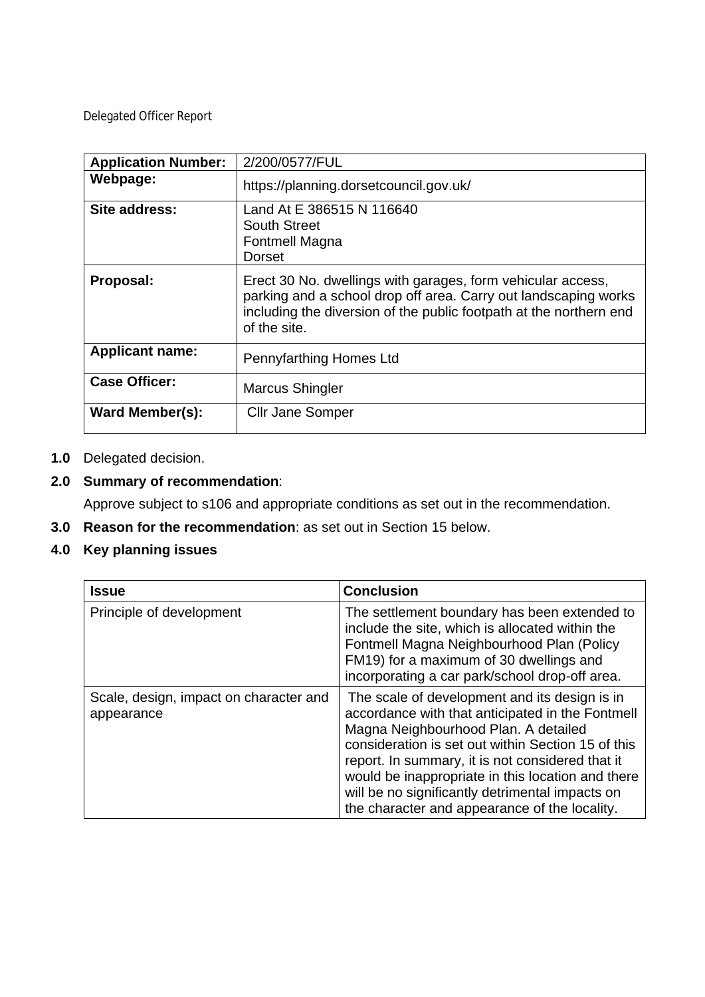Delegated Officer Report

| <b>Application Number:</b> | 2/200/0577/FUL                                                                                                                                                                                                       |
|----------------------------|----------------------------------------------------------------------------------------------------------------------------------------------------------------------------------------------------------------------|
| Webpage:                   | https://planning.dorsetcouncil.gov.uk/                                                                                                                                                                               |
| Site address:              | Land At E 386515 N 116640<br>South Street<br><b>Fontmell Magna</b><br>Dorset                                                                                                                                         |
| Proposal:                  | Erect 30 No. dwellings with garages, form vehicular access,<br>parking and a school drop off area. Carry out landscaping works<br>including the diversion of the public footpath at the northern end<br>of the site. |
| <b>Applicant name:</b>     | Pennyfarthing Homes Ltd                                                                                                                                                                                              |
| <b>Case Officer:</b>       | Marcus Shingler                                                                                                                                                                                                      |
| <b>Ward Member(s):</b>     | <b>Cllr Jane Somper</b>                                                                                                                                                                                              |

# **1.0** Delegated decision.

# **2.0 Summary of recommendation**:

Approve subject to s106 and appropriate conditions as set out in the recommendation.

**3.0 Reason for the recommendation**: as set out in Section 15 below.

# **4.0 Key planning issues**

| <b>Issue</b>                                         | <b>Conclusion</b>                                                                                                                                                                                                                                                                                                                                                                                            |
|------------------------------------------------------|--------------------------------------------------------------------------------------------------------------------------------------------------------------------------------------------------------------------------------------------------------------------------------------------------------------------------------------------------------------------------------------------------------------|
| Principle of development                             | The settlement boundary has been extended to<br>include the site, which is allocated within the<br>Fontmell Magna Neighbourhood Plan (Policy<br>FM19) for a maximum of 30 dwellings and<br>incorporating a car park/school drop-off area.                                                                                                                                                                    |
| Scale, design, impact on character and<br>appearance | The scale of development and its design is in<br>accordance with that anticipated in the Fontmell<br>Magna Neighbourhood Plan. A detailed<br>consideration is set out within Section 15 of this<br>report. In summary, it is not considered that it<br>would be inappropriate in this location and there<br>will be no significantly detrimental impacts on<br>the character and appearance of the locality. |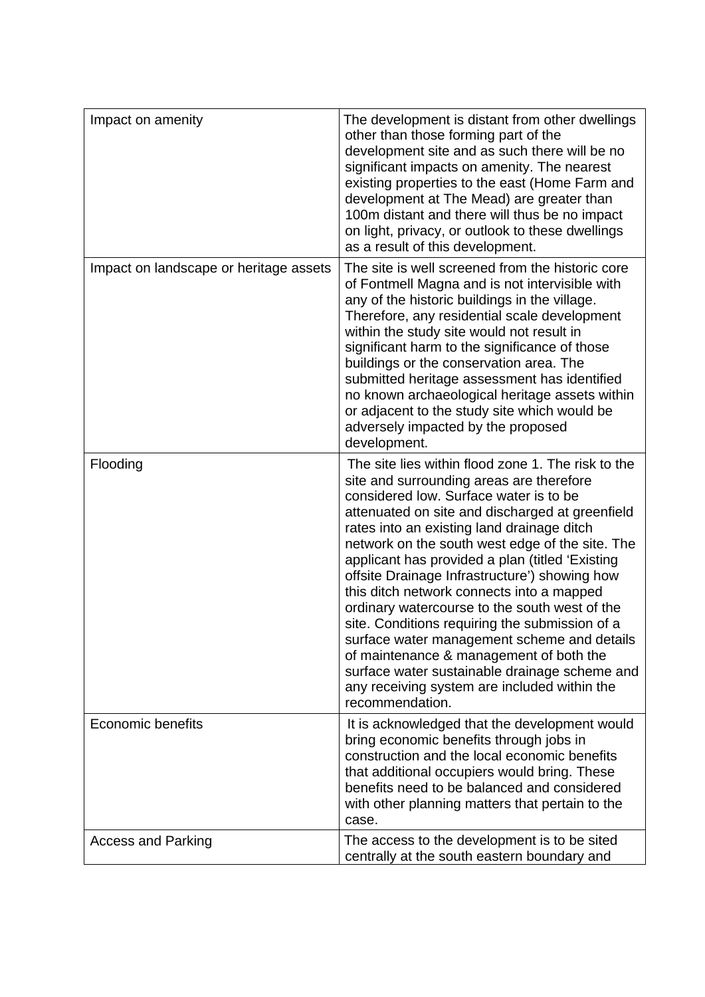| Impact on amenity                      | The development is distant from other dwellings<br>other than those forming part of the<br>development site and as such there will be no<br>significant impacts on amenity. The nearest<br>existing properties to the east (Home Farm and<br>development at The Mead) are greater than<br>100m distant and there will thus be no impact<br>on light, privacy, or outlook to these dwellings<br>as a result of this development.                                                                                                                                                                                                                                                                                                                                |
|----------------------------------------|----------------------------------------------------------------------------------------------------------------------------------------------------------------------------------------------------------------------------------------------------------------------------------------------------------------------------------------------------------------------------------------------------------------------------------------------------------------------------------------------------------------------------------------------------------------------------------------------------------------------------------------------------------------------------------------------------------------------------------------------------------------|
| Impact on landscape or heritage assets | The site is well screened from the historic core<br>of Fontmell Magna and is not intervisible with<br>any of the historic buildings in the village.<br>Therefore, any residential scale development<br>within the study site would not result in<br>significant harm to the significance of those<br>buildings or the conservation area. The<br>submitted heritage assessment has identified<br>no known archaeological heritage assets within<br>or adjacent to the study site which would be<br>adversely impacted by the proposed<br>development.                                                                                                                                                                                                           |
| Flooding                               | The site lies within flood zone 1. The risk to the<br>site and surrounding areas are therefore<br>considered low. Surface water is to be<br>attenuated on site and discharged at greenfield<br>rates into an existing land drainage ditch<br>network on the south west edge of the site. The<br>applicant has provided a plan (titled 'Existing<br>offsite Drainage Infrastructure') showing how<br>this ditch network connects into a mapped<br>ordinary watercourse to the south west of the<br>site. Conditions requiring the submission of a<br>surface water management scheme and details<br>of maintenance & management of both the<br>surface water sustainable drainage scheme and<br>any receiving system are included within the<br>recommendation. |
| Economic benefits                      | It is acknowledged that the development would<br>bring economic benefits through jobs in<br>construction and the local economic benefits<br>that additional occupiers would bring. These<br>benefits need to be balanced and considered<br>with other planning matters that pertain to the<br>case.                                                                                                                                                                                                                                                                                                                                                                                                                                                            |
| <b>Access and Parking</b>              | The access to the development is to be sited<br>centrally at the south eastern boundary and                                                                                                                                                                                                                                                                                                                                                                                                                                                                                                                                                                                                                                                                    |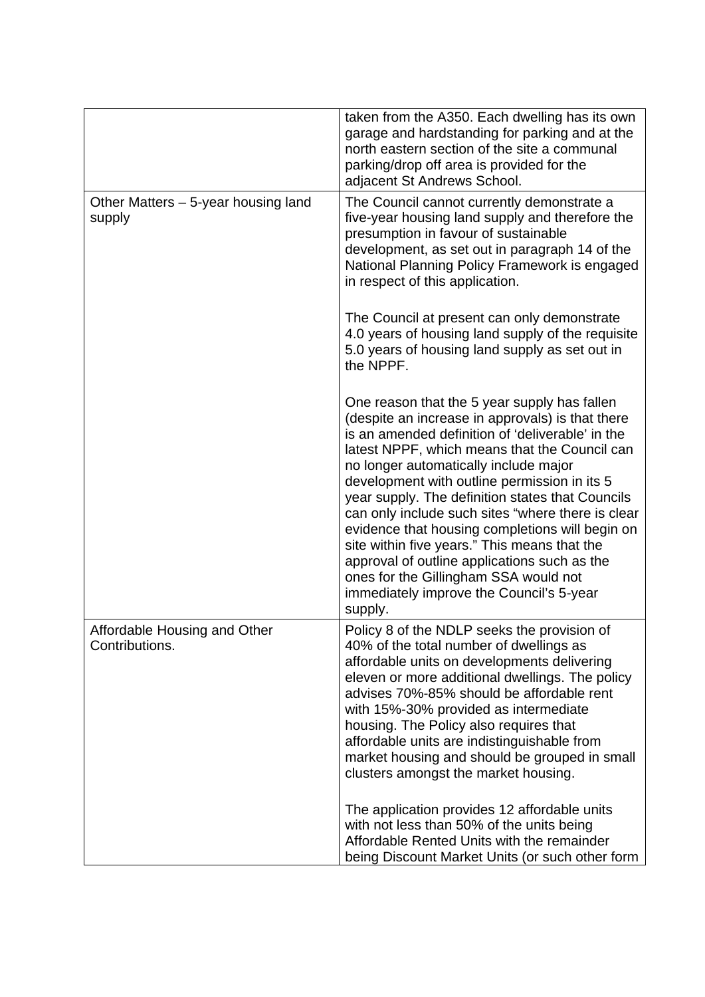|                                                | taken from the A350. Each dwelling has its own<br>garage and hardstanding for parking and at the<br>north eastern section of the site a communal<br>parking/drop off area is provided for the<br>adjacent St Andrews School.                                                                                                                                                                                                                                                                                                                                                                                                                               |
|------------------------------------------------|------------------------------------------------------------------------------------------------------------------------------------------------------------------------------------------------------------------------------------------------------------------------------------------------------------------------------------------------------------------------------------------------------------------------------------------------------------------------------------------------------------------------------------------------------------------------------------------------------------------------------------------------------------|
| Other Matters - 5-year housing land<br>supply  | The Council cannot currently demonstrate a<br>five-year housing land supply and therefore the<br>presumption in favour of sustainable<br>development, as set out in paragraph 14 of the<br>National Planning Policy Framework is engaged<br>in respect of this application.                                                                                                                                                                                                                                                                                                                                                                                |
|                                                | The Council at present can only demonstrate<br>4.0 years of housing land supply of the requisite<br>5.0 years of housing land supply as set out in<br>the NPPF.                                                                                                                                                                                                                                                                                                                                                                                                                                                                                            |
|                                                | One reason that the 5 year supply has fallen<br>(despite an increase in approvals) is that there<br>is an amended definition of 'deliverable' in the<br>latest NPPF, which means that the Council can<br>no longer automatically include major<br>development with outline permission in its 5<br>year supply. The definition states that Councils<br>can only include such sites "where there is clear<br>evidence that housing completions will begin on<br>site within five years." This means that the<br>approval of outline applications such as the<br>ones for the Gillingham SSA would not<br>immediately improve the Council's 5-year<br>supply. |
| Affordable Housing and Other<br>Contributions. | Policy 8 of the NDLP seeks the provision of<br>40% of the total number of dwellings as<br>affordable units on developments delivering<br>eleven or more additional dwellings. The policy<br>advises 70%-85% should be affordable rent<br>with 15%-30% provided as intermediate<br>housing. The Policy also requires that<br>affordable units are indistinguishable from<br>market housing and should be grouped in small<br>clusters amongst the market housing.                                                                                                                                                                                           |
|                                                | The application provides 12 affordable units<br>with not less than 50% of the units being<br>Affordable Rented Units with the remainder<br>being Discount Market Units (or such other form                                                                                                                                                                                                                                                                                                                                                                                                                                                                 |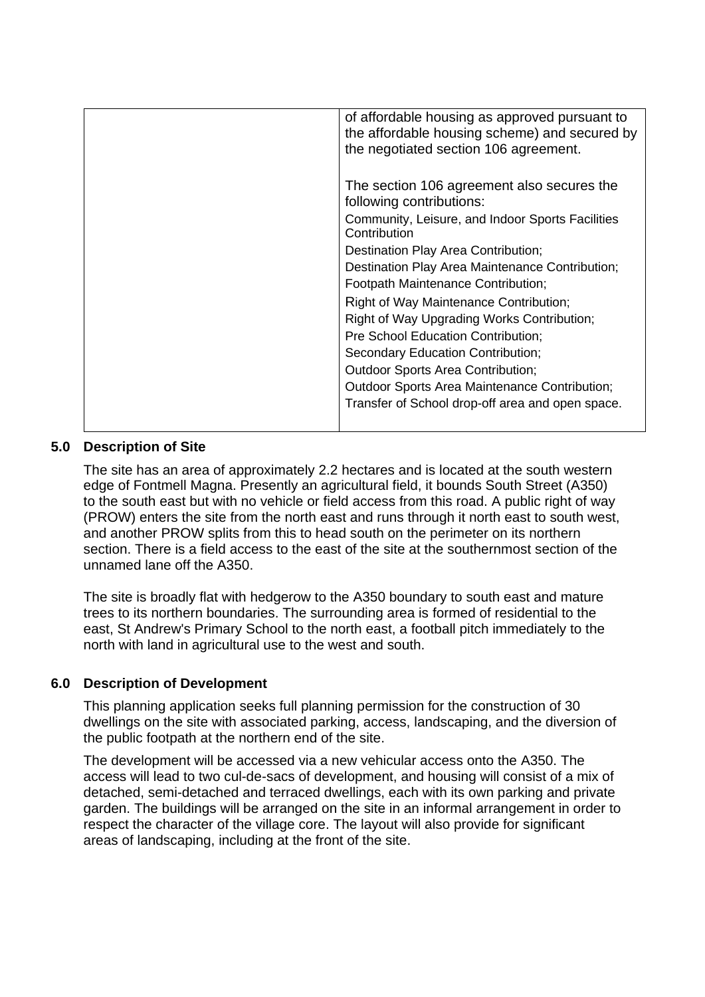| of affordable housing as approved pursuant to<br>the affordable housing scheme) and secured by<br>the negotiated section 106 agreement.                                                                                                                                                                                                                                                                                                                                                                                                                                                               |
|-------------------------------------------------------------------------------------------------------------------------------------------------------------------------------------------------------------------------------------------------------------------------------------------------------------------------------------------------------------------------------------------------------------------------------------------------------------------------------------------------------------------------------------------------------------------------------------------------------|
| The section 106 agreement also secures the<br>following contributions:<br>Community, Leisure, and Indoor Sports Facilities<br>Contribution<br>Destination Play Area Contribution;<br>Destination Play Area Maintenance Contribution;<br>Footpath Maintenance Contribution;<br>Right of Way Maintenance Contribution;<br>Right of Way Upgrading Works Contribution;<br>Pre School Education Contribution;<br>Secondary Education Contribution;<br><b>Outdoor Sports Area Contribution;</b><br><b>Outdoor Sports Area Maintenance Contribution;</b><br>Transfer of School drop-off area and open space. |
|                                                                                                                                                                                                                                                                                                                                                                                                                                                                                                                                                                                                       |

# **5.0 Description of Site**

The site has an area of approximately 2.2 hectares and is located at the south western edge of Fontmell Magna. Presently an agricultural field, it bounds South Street (A350) to the south east but with no vehicle or field access from this road. A public right of way (PROW) enters the site from the north east and runs through it north east to south west, and another PROW splits from this to head south on the perimeter on its northern section. There is a field access to the east of the site at the southernmost section of the unnamed lane off the A350.

The site is broadly flat with hedgerow to the A350 boundary to south east and mature trees to its northern boundaries. The surrounding area is formed of residential to the east, St Andrew's Primary School to the north east, a football pitch immediately to the north with land in agricultural use to the west and south.

# **6.0 Description of Development**

This planning application seeks full planning permission for the construction of 30 dwellings on the site with associated parking, access, landscaping, and the diversion of the public footpath at the northern end of the site.

The development will be accessed via a new vehicular access onto the A350. The access will lead to two cul-de-sacs of development, and housing will consist of a mix of detached, semi-detached and terraced dwellings, each with its own parking and private garden. The buildings will be arranged on the site in an informal arrangement in order to respect the character of the village core. The layout will also provide for significant areas of landscaping, including at the front of the site.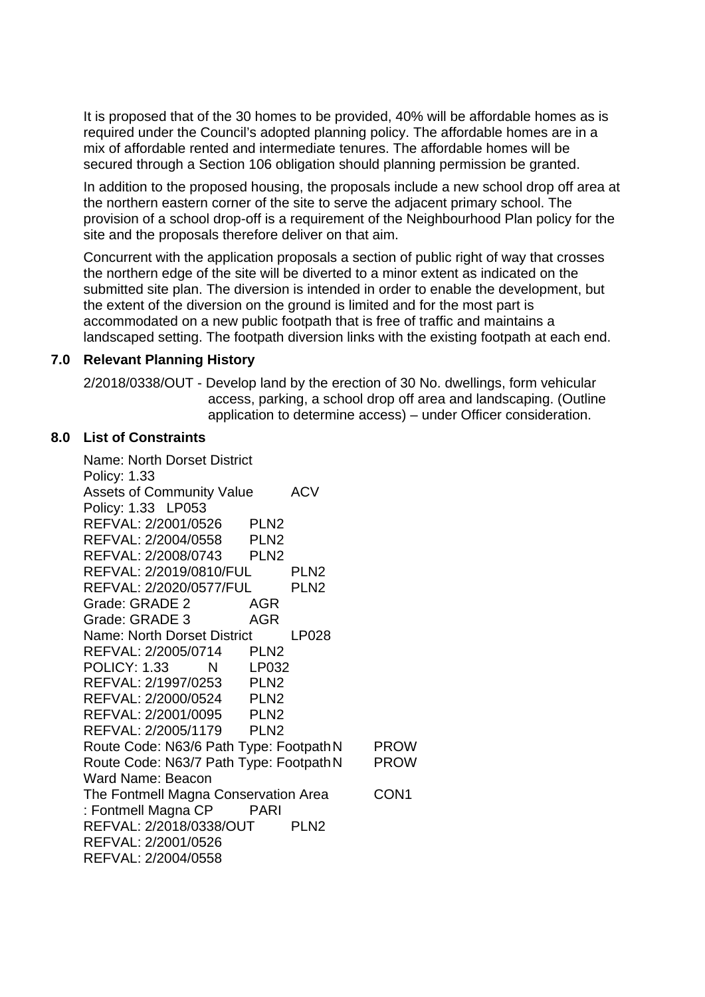It is proposed that of the 30 homes to be provided, 40% will be affordable homes as is required under the Council's adopted planning policy. The affordable homes are in a mix of affordable rented and intermediate tenures. The affordable homes will be secured through a Section 106 obligation should planning permission be granted.

In addition to the proposed housing, the proposals include a new school drop off area at the northern eastern corner of the site to serve the adjacent primary school. The provision of a school drop-off is a requirement of the Neighbourhood Plan policy for the site and the proposals therefore deliver on that aim.

Concurrent with the application proposals a section of public right of way that crosses the northern edge of the site will be diverted to a minor extent as indicated on the submitted site plan. The diversion is intended in order to enable the development, but the extent of the diversion on the ground is limited and for the most part is accommodated on a new public footpath that is free of traffic and maintains a landscaped setting. The footpath diversion links with the existing footpath at each end.

## **7.0 Relevant Planning History**

2/2018/0338/OUT - Develop land by the erection of 30 No. dwellings, form vehicular access, parking, a school drop off area and landscaping. (Outline application to determine access) – under Officer consideration.

## **8.0 List of Constraints**

Name: North Dorset District Policy: 1.33 Assets of Community Value ACV Policy: 1.33 LP053 REFVAL: 2/2001/0526 PLN2 REFVAL: 2/2004/0558 PLN2 REFVAL: 2/2008/0743 PLN2 REFVAL: 2/2019/0810/FUL PLN2 REFVAL: 2/2020/0577/FUL PLN2 Grade: GRADE 2 AGR Grade: GRADE 3 AGR Name: North Dorset District LP028 REFVAL: 2/2005/0714 PLN2 POLICY: 1.33 N LP032 REFVAL: 2/1997/0253 PLN2 REFVAL: 2/2000/0524 PLN2 REFVAL: 2/2001/0095 PLN2 REFVAL: 2/2005/1179 PLN2 Route Code: N63/6 Path Type: Footpath N PROW Route Code: N63/7 Path Type: FootpathN PROW Ward Name: Beacon The Fontmell Magna Conservation Area CON1 : Fontmell Magna CP PARI REFVAL: 2/2018/0338/OUT PLN2 REFVAL: 2/2001/0526 REFVAL: 2/2004/0558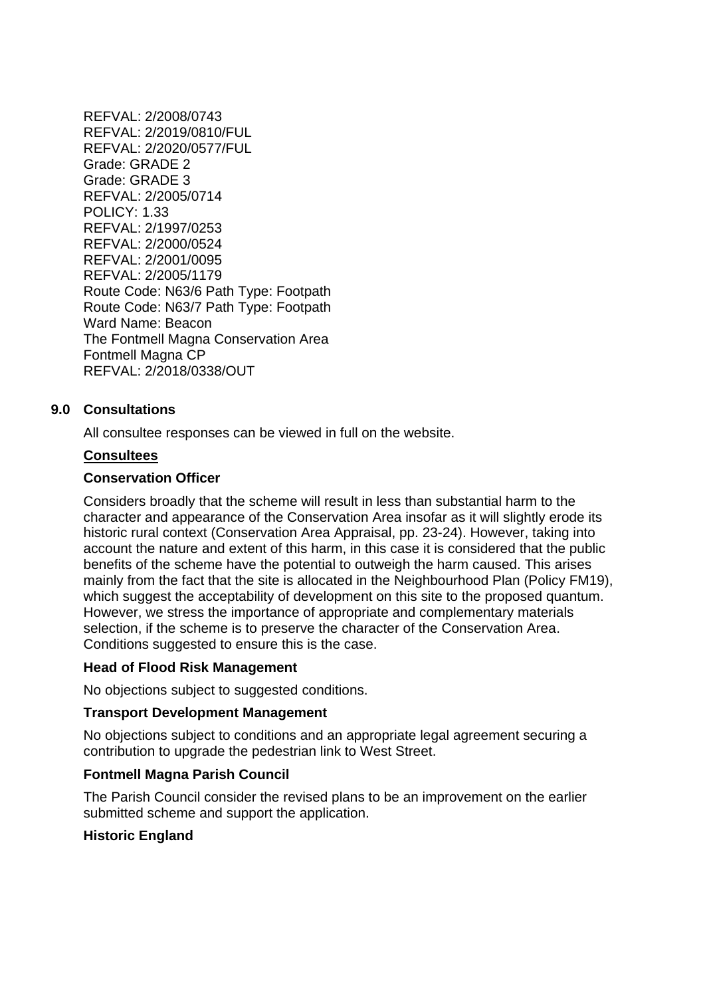REFVAL: 2/2008/0743 REFVAL: 2/2019/0810/FUL REFVAL: 2/2020/0577/FUL Grade: GRADE 2 Grade: GRADE 3 REFVAL: 2/2005/0714 POLICY: 1.33 REFVAL: 2/1997/0253 REFVAL: 2/2000/0524 REFVAL: 2/2001/0095 REFVAL: 2/2005/1179 Route Code: N63/6 Path Type: Footpath Route Code: N63/7 Path Type: Footpath Ward Name: Beacon The Fontmell Magna Conservation Area Fontmell Magna CP REFVAL: 2/2018/0338/OUT

## **9.0 Consultations**

All consultee responses can be viewed in full on the website.

#### **Consultees**

#### **Conservation Officer**

Considers broadly that the scheme will result in less than substantial harm to the character and appearance of the Conservation Area insofar as it will slightly erode its historic rural context (Conservation Area Appraisal, pp. 23-24). However, taking into account the nature and extent of this harm, in this case it is considered that the public benefits of the scheme have the potential to outweigh the harm caused. This arises mainly from the fact that the site is allocated in the Neighbourhood Plan (Policy FM19), which suggest the acceptability of development on this site to the proposed quantum. However, we stress the importance of appropriate and complementary materials selection, if the scheme is to preserve the character of the Conservation Area. Conditions suggested to ensure this is the case.

#### **Head of Flood Risk Management**

No objections subject to suggested conditions.

### **Transport Development Management**

No objections subject to conditions and an appropriate legal agreement securing a contribution to upgrade the pedestrian link to West Street.

### **Fontmell Magna Parish Council**

The Parish Council consider the revised plans to be an improvement on the earlier submitted scheme and support the application.

### **Historic England**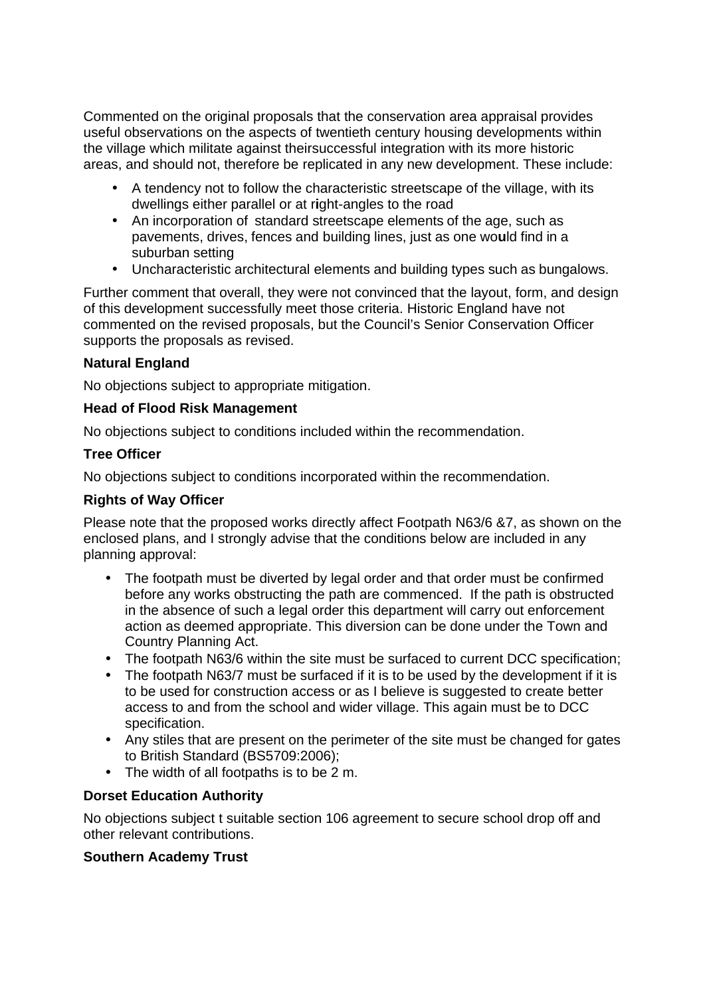Commented on the original proposals that the conservation area appraisal provides useful observations on the aspects of twentieth century housing developments within the village which militate against theirsuccessful integration with its more historic areas, and should not, therefore be replicated in any new development. These include:

- A tendency not to follow the characteristic streetscape of the village, with its dwellings either parallel or at r**i**ght-angles to the road
- An incorporation of standard streetscape elements of the age, such as pavements, drives, fences and building lines, just as one wo**u**ld find in a suburban setting
- Uncharacteristic architectural elements and building types such as bungalows.

Further comment that overall, they were not convinced that the layout, form, and design of this development successfully meet those criteria. Historic England have not commented on the revised proposals, but the Council's Senior Conservation Officer supports the proposals as revised.

# **Natural England**

No objections subject to appropriate mitigation.

# **Head of Flood Risk Management**

No objections subject to conditions included within the recommendation.

# **Tree Officer**

No objections subject to conditions incorporated within the recommendation.

# **Rights of Way Officer**

Please note that the proposed works directly affect Footpath N63/6 &7, as shown on the enclosed plans, and I strongly advise that the conditions below are included in any planning approval:

- The footpath must be diverted by legal order and that order must be confirmed before any works obstructing the path are commenced. If the path is obstructed in the absence of such a legal order this department will carry out enforcement action as deemed appropriate. This diversion can be done under the Town and Country Planning Act.
- The footpath N63/6 within the site must be surfaced to current DCC specification;
- The footpath N63/7 must be surfaced if it is to be used by the development if it is to be used for construction access or as I believe is suggested to create better access to and from the school and wider village. This again must be to DCC specification.
- Any stiles that are present on the perimeter of the site must be changed for gates to British Standard (BS5709:2006);
- The width of all footpaths is to be 2 m.

# **Dorset Education Authority**

No objections subject t suitable section 106 agreement to secure school drop off and other relevant contributions.

## **Southern Academy Trust**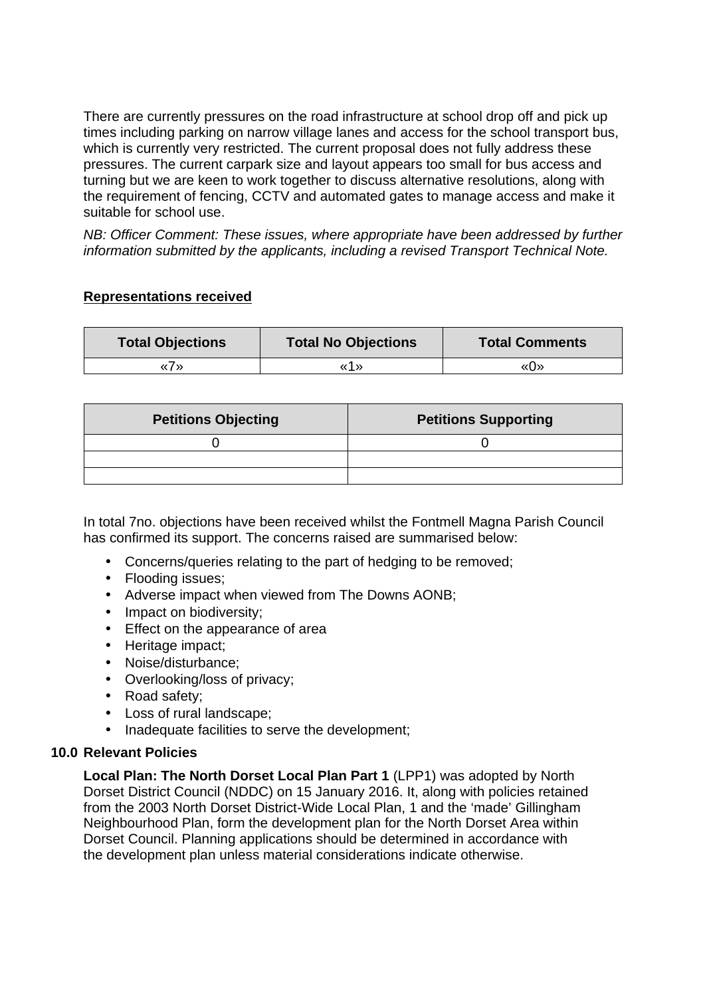There are currently pressures on the road infrastructure at school drop off and pick up times including parking on narrow village lanes and access for the school transport bus, which is currently very restricted. The current proposal does not fully address these pressures. The current carpark size and layout appears too small for bus access and turning but we are keen to work together to discuss alternative resolutions, along with the requirement of fencing, CCTV and automated gates to manage access and make it suitable for school use.

*NB: Officer Comment: These issues, where appropriate have been addressed by further information submitted by the applicants, including a revised Transport Technical Note.* 

## **Representations received**

| <b>Total Objections</b> | <b>Total No Objections</b> | <b>Total Comments</b> |
|-------------------------|----------------------------|-----------------------|
| « / »                   | «1»                        | «∩»                   |

| <b>Petitions Objecting</b> | <b>Petitions Supporting</b> |
|----------------------------|-----------------------------|
|                            |                             |
|                            |                             |
|                            |                             |

In total 7no. objections have been received whilst the Fontmell Magna Parish Council has confirmed its support. The concerns raised are summarised below:

- Concerns/queries relating to the part of hedging to be removed;
- Flooding issues:
- Adverse impact when viewed from The Downs AONB;
- Impact on biodiversity;
- Effect on the appearance of area
- Heritage impact;
- Noise/disturbance;
- Overlooking/loss of privacy;
- Road safety;
- Loss of rural landscape;
- Inadequate facilities to serve the development;

## **10.0 Relevant Policies**

**Local Plan: The North Dorset Local Plan Part 1** (LPP1) was adopted by North Dorset District Council (NDDC) on 15 January 2016. It, along with policies retained from the 2003 North Dorset District-Wide Local Plan, 1 and the 'made' Gillingham Neighbourhood Plan, form the development plan for the North Dorset Area within Dorset Council. Planning applications should be determined in accordance with the development plan unless material considerations indicate otherwise.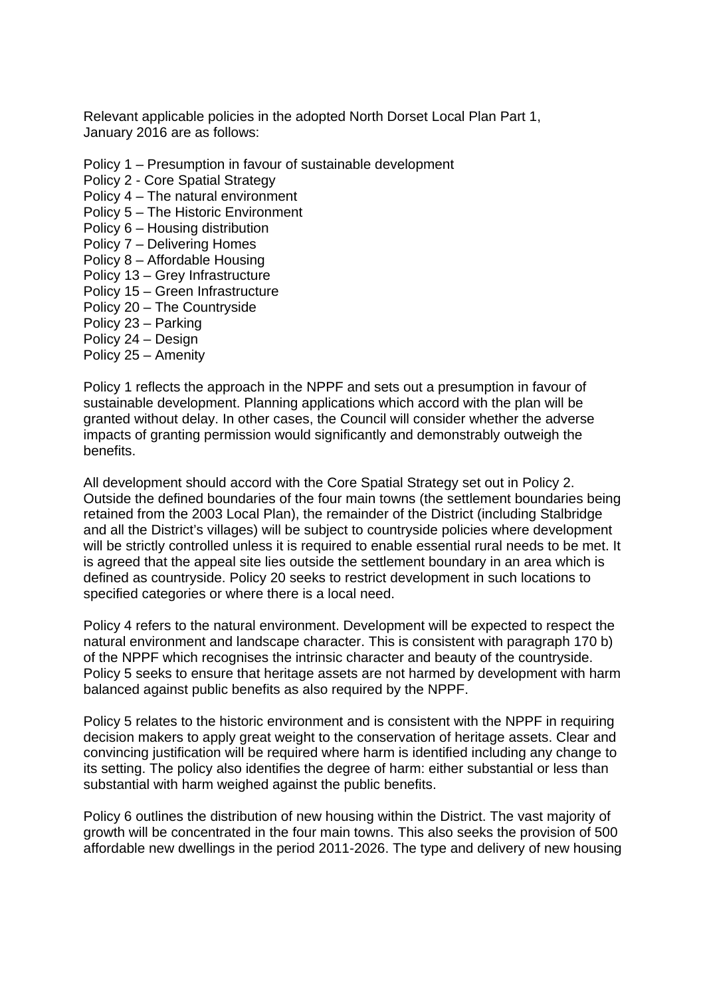Relevant applicable policies in the adopted North Dorset Local Plan Part 1, January 2016 are as follows:

- Policy 1 Presumption in favour of sustainable development
- Policy 2 Core Spatial Strategy
- Policy 4 The natural environment
- Policy 5 The Historic Environment
- Policy 6 Housing distribution
- Policy 7 Delivering Homes
- Policy 8 Affordable Housing
- Policy 13 Grey Infrastructure
- Policy 15 Green Infrastructure
- Policy 20 The Countryside
- Policy 23 Parking
- Policy 24 Design
- Policy 25 Amenity

Policy 1 reflects the approach in the NPPF and sets out a presumption in favour of sustainable development. Planning applications which accord with the plan will be granted without delay. In other cases, the Council will consider whether the adverse impacts of granting permission would significantly and demonstrably outweigh the benefits.

All development should accord with the Core Spatial Strategy set out in Policy 2. Outside the defined boundaries of the four main towns (the settlement boundaries being retained from the 2003 Local Plan), the remainder of the District (including Stalbridge and all the District's villages) will be subject to countryside policies where development will be strictly controlled unless it is required to enable essential rural needs to be met. It is agreed that the appeal site lies outside the settlement boundary in an area which is defined as countryside. Policy 20 seeks to restrict development in such locations to specified categories or where there is a local need.

Policy 4 refers to the natural environment. Development will be expected to respect the natural environment and landscape character. This is consistent with paragraph 170 b) of the NPPF which recognises the intrinsic character and beauty of the countryside. Policy 5 seeks to ensure that heritage assets are not harmed by development with harm balanced against public benefits as also required by the NPPF.

Policy 5 relates to the historic environment and is consistent with the NPPF in requiring decision makers to apply great weight to the conservation of heritage assets. Clear and convincing justification will be required where harm is identified including any change to its setting. The policy also identifies the degree of harm: either substantial or less than substantial with harm weighed against the public benefits.

Policy 6 outlines the distribution of new housing within the District. The vast majority of growth will be concentrated in the four main towns. This also seeks the provision of 500 affordable new dwellings in the period 2011-2026. The type and delivery of new housing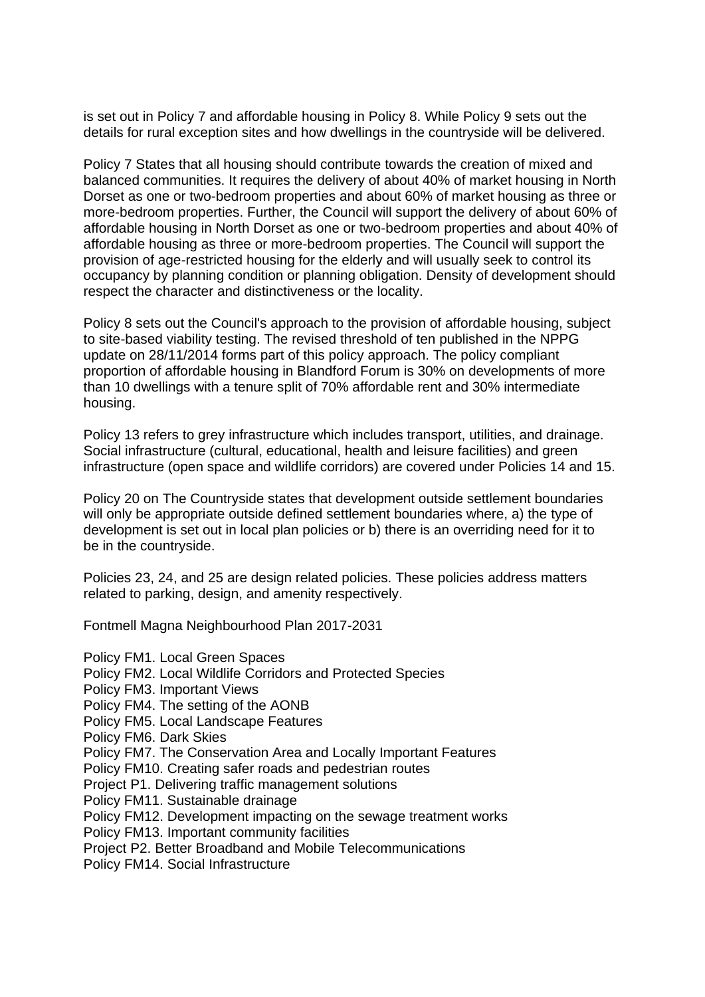is set out in Policy 7 and affordable housing in Policy 8. While Policy 9 sets out the details for rural exception sites and how dwellings in the countryside will be delivered.

Policy 7 States that all housing should contribute towards the creation of mixed and balanced communities. It requires the delivery of about 40% of market housing in North Dorset as one or two-bedroom properties and about 60% of market housing as three or more-bedroom properties. Further, the Council will support the delivery of about 60% of affordable housing in North Dorset as one or two-bedroom properties and about 40% of affordable housing as three or more-bedroom properties. The Council will support the provision of age-restricted housing for the elderly and will usually seek to control its occupancy by planning condition or planning obligation. Density of development should respect the character and distinctiveness or the locality.

Policy 8 sets out the Council's approach to the provision of affordable housing, subject to site-based viability testing. The revised threshold of ten published in the NPPG update on 28/11/2014 forms part of this policy approach. The policy compliant proportion of affordable housing in Blandford Forum is 30% on developments of more than 10 dwellings with a tenure split of 70% affordable rent and 30% intermediate housing.

Policy 13 refers to grey infrastructure which includes transport, utilities, and drainage. Social infrastructure (cultural, educational, health and leisure facilities) and green infrastructure (open space and wildlife corridors) are covered under Policies 14 and 15.

Policy 20 on The Countryside states that development outside settlement boundaries will only be appropriate outside defined settlement boundaries where, a) the type of development is set out in local plan policies or b) there is an overriding need for it to be in the countryside.

Policies 23, 24, and 25 are design related policies. These policies address matters related to parking, design, and amenity respectively.

Fontmell Magna Neighbourhood Plan 2017-2031

Policy FM1. Local Green Spaces Policy FM2. Local Wildlife Corridors and Protected Species Policy FM3. Important Views Policy FM4. The setting of the AONB Policy FM5. Local Landscape Features Policy FM6. Dark Skies Policy FM7. The Conservation Area and Locally Important Features Policy FM10. Creating safer roads and pedestrian routes Project P1. Delivering traffic management solutions Policy FM11. Sustainable drainage Policy FM12. Development impacting on the sewage treatment works Policy FM13. Important community facilities Project P2. Better Broadband and Mobile Telecommunications Policy FM14. Social Infrastructure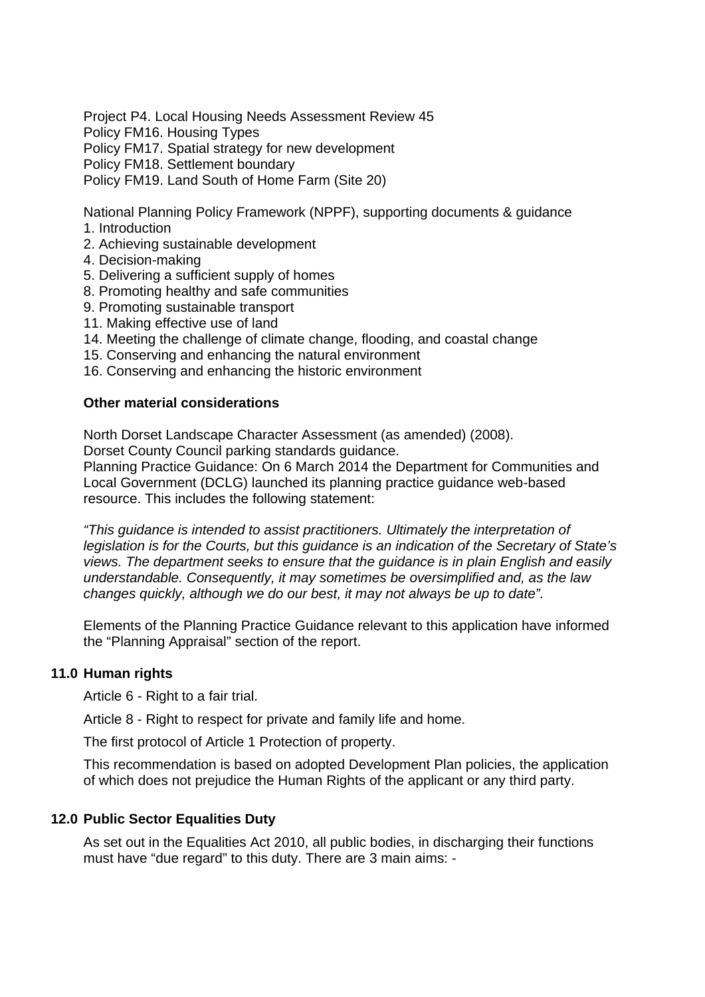Project P4. Local Housing Needs Assessment Review 45 Policy FM16. Housing Types Policy FM17. Spatial strategy for new development Policy FM18. Settlement boundary Policy FM19. Land South of Home Farm (Site 20)

National Planning Policy Framework (NPPF), supporting documents & guidance

- 1. Introduction
- 2. Achieving sustainable development
- 4. Decision-making
- 5. Delivering a sufficient supply of homes
- 8. Promoting healthy and safe communities
- 9. Promoting sustainable transport
- 11. Making effective use of land
- 14. Meeting the challenge of climate change, flooding, and coastal change
- 15. Conserving and enhancing the natural environment
- 16. Conserving and enhancing the historic environment

# **Other material considerations**

North Dorset Landscape Character Assessment (as amended) (2008). Dorset County Council parking standards guidance.

Planning Practice Guidance: On 6 March 2014 the Department for Communities and Local Government (DCLG) launched its planning practice guidance web-based resource. This includes the following statement:

*"This guidance is intended to assist practitioners. Ultimately the interpretation of legislation is for the Courts, but this guidance is an indication of the Secretary of State's views. The department seeks to ensure that the guidance is in plain English and easily understandable. Consequently, it may sometimes be oversimplified and, as the law changes quickly, although we do our best, it may not always be up to date".* 

Elements of the Planning Practice Guidance relevant to this application have informed the "Planning Appraisal" section of the report.

## **11.0 Human rights**

Article 6 - Right to a fair trial.

Article 8 - Right to respect for private and family life and home.

The first protocol of Article 1 Protection of property.

This recommendation is based on adopted Development Plan policies, the application of which does not prejudice the Human Rights of the applicant or any third party.

## **12.0 Public Sector Equalities Duty**

As set out in the Equalities Act 2010, all public bodies, in discharging their functions must have "due regard" to this duty. There are 3 main aims: -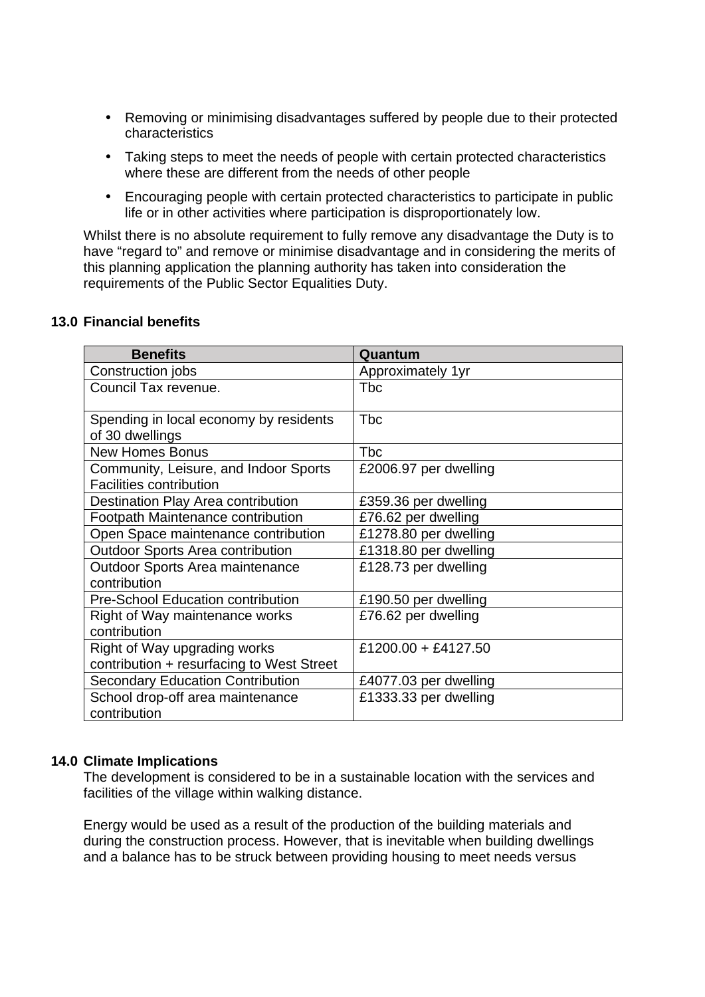- Removing or minimising disadvantages suffered by people due to their protected characteristics
- Taking steps to meet the needs of people with certain protected characteristics where these are different from the needs of other people
- Encouraging people with certain protected characteristics to participate in public life or in other activities where participation is disproportionately low.

Whilst there is no absolute requirement to fully remove any disadvantage the Duty is to have "regard to" and remove or minimise disadvantage and in considering the merits of this planning application the planning authority has taken into consideration the requirements of the Public Sector Equalities Duty.

### **13.0 Financial benefits**

| <b>Benefits</b>                                                         | Quantum               |
|-------------------------------------------------------------------------|-----------------------|
| Construction jobs                                                       | Approximately 1yr     |
| Council Tax revenue.                                                    | <b>T</b> bc           |
| Spending in local economy by residents<br>of 30 dwellings               | <b>T</b> bc           |
| <b>New Homes Bonus</b>                                                  | <b>Tbc</b>            |
| Community, Leisure, and Indoor Sports<br><b>Facilities contribution</b> | £2006.97 per dwelling |
| Destination Play Area contribution                                      | £359.36 per dwelling  |
| Footpath Maintenance contribution                                       | £76.62 per dwelling   |
| Open Space maintenance contribution                                     | £1278.80 per dwelling |
| <b>Outdoor Sports Area contribution</b>                                 | £1318.80 per dwelling |
| Outdoor Sports Area maintenance                                         | £128.73 per dwelling  |
| contribution                                                            |                       |
| <b>Pre-School Education contribution</b>                                | £190.50 per dwelling  |
| Right of Way maintenance works                                          | £76.62 per dwelling   |
| contribution                                                            |                       |
| Right of Way upgrading works                                            | £1200.00 + £4127.50   |
| contribution + resurfacing to West Street                               |                       |
| <b>Secondary Education Contribution</b>                                 | £4077.03 per dwelling |
| School drop-off area maintenance<br>contribution                        | £1333.33 per dwelling |

### **14.0 Climate Implications**

The development is considered to be in a sustainable location with the services and facilities of the village within walking distance.

Energy would be used as a result of the production of the building materials and during the construction process. However, that is inevitable when building dwellings and a balance has to be struck between providing housing to meet needs versus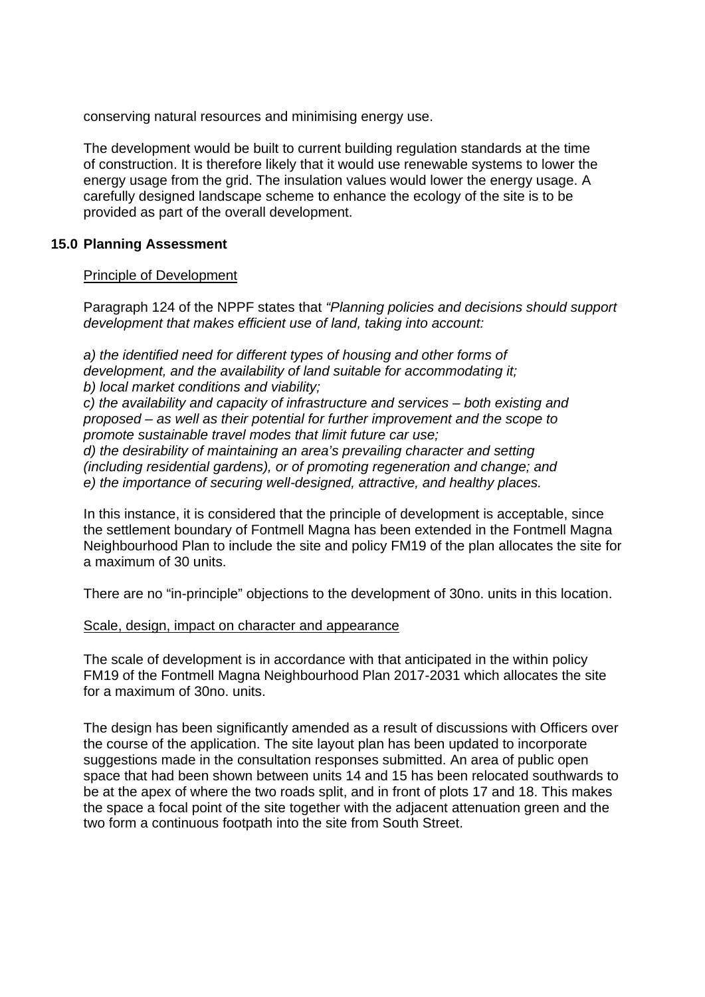conserving natural resources and minimising energy use.

The development would be built to current building regulation standards at the time of construction. It is therefore likely that it would use renewable systems to lower the energy usage from the grid. The insulation values would lower the energy usage. A carefully designed landscape scheme to enhance the ecology of the site is to be provided as part of the overall development.

## **15.0 Planning Assessment**

### Principle of Development

Paragraph 124 of the NPPF states that *"Planning policies and decisions should support development that makes efficient use of land, taking into account:* 

*a) the identified need for different types of housing and other forms of development, and the availability of land suitable for accommodating it; b) local market conditions and viability;* 

*c) the availability and capacity of infrastructure and services – both existing and proposed – as well as their potential for further improvement and the scope to promote sustainable travel modes that limit future car use;* 

*d) the desirability of maintaining an area's prevailing character and setting (including residential gardens), or of promoting regeneration and change; and e) the importance of securing well-designed, attractive, and healthy places.*

In this instance, it is considered that the principle of development is acceptable, since the settlement boundary of Fontmell Magna has been extended in the Fontmell Magna Neighbourhood Plan to include the site and policy FM19 of the plan allocates the site for a maximum of 30 units.

There are no "in-principle" objections to the development of 30no. units in this location.

### Scale, design, impact on character and appearance

The scale of development is in accordance with that anticipated in the within policy FM19 of the Fontmell Magna Neighbourhood Plan 2017-2031 which allocates the site for a maximum of 30no. units.

The design has been significantly amended as a result of discussions with Officers over the course of the application. The site layout plan has been updated to incorporate suggestions made in the consultation responses submitted. An area of public open space that had been shown between units 14 and 15 has been relocated southwards to be at the apex of where the two roads split, and in front of plots 17 and 18. This makes the space a focal point of the site together with the adjacent attenuation green and the two form a continuous footpath into the site from South Street.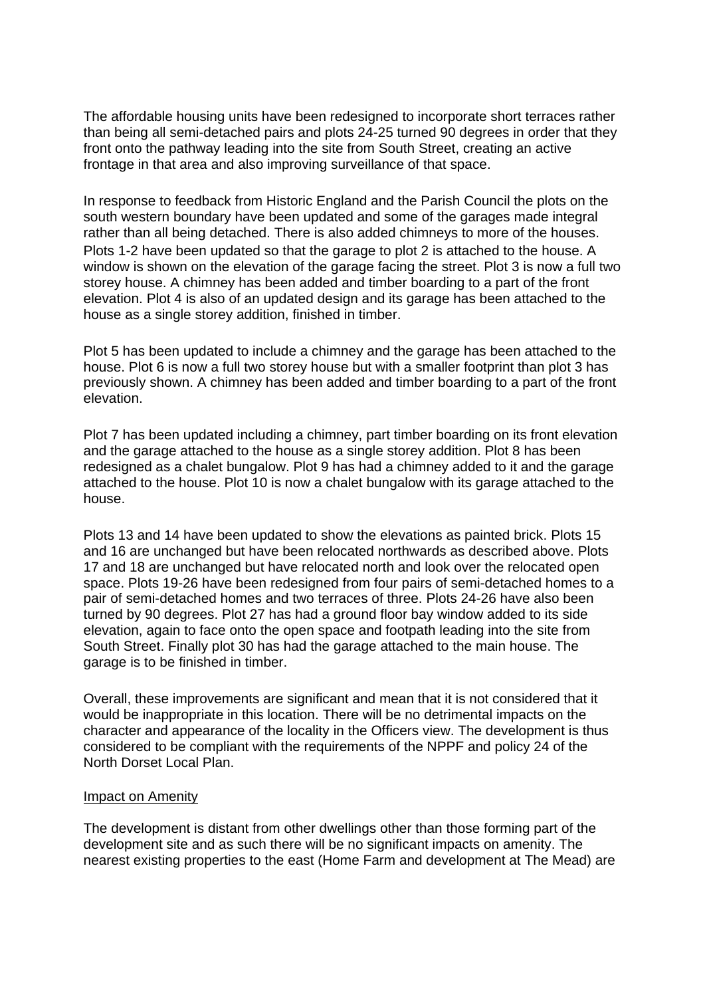The affordable housing units have been redesigned to incorporate short terraces rather than being all semi-detached pairs and plots 24-25 turned 90 degrees in order that they front onto the pathway leading into the site from South Street, creating an active frontage in that area and also improving surveillance of that space.

In response to feedback from Historic England and the Parish Council the plots on the south western boundary have been updated and some of the garages made integral rather than all being detached. There is also added chimneys to more of the houses. Plots 1-2 have been updated so that the garage to plot 2 is attached to the house. A window is shown on the elevation of the garage facing the street. Plot 3 is now a full two storey house. A chimney has been added and timber boarding to a part of the front elevation. Plot 4 is also of an updated design and its garage has been attached to the house as a single storey addition, finished in timber.

Plot 5 has been updated to include a chimney and the garage has been attached to the house. Plot 6 is now a full two storey house but with a smaller footprint than plot 3 has previously shown. A chimney has been added and timber boarding to a part of the front elevation.

Plot 7 has been updated including a chimney, part timber boarding on its front elevation and the garage attached to the house as a single storey addition. Plot 8 has been redesigned as a chalet bungalow. Plot 9 has had a chimney added to it and the garage attached to the house. Plot 10 is now a chalet bungalow with its garage attached to the house.

Plots 13 and 14 have been updated to show the elevations as painted brick. Plots 15 and 16 are unchanged but have been relocated northwards as described above. Plots 17 and 18 are unchanged but have relocated north and look over the relocated open space. Plots 19-26 have been redesigned from four pairs of semi-detached homes to a pair of semi-detached homes and two terraces of three. Plots 24-26 have also been turned by 90 degrees. Plot 27 has had a ground floor bay window added to its side elevation, again to face onto the open space and footpath leading into the site from South Street. Finally plot 30 has had the garage attached to the main house. The garage is to be finished in timber.

Overall, these improvements are significant and mean that it is not considered that it would be inappropriate in this location. There will be no detrimental impacts on the character and appearance of the locality in the Officers view. The development is thus considered to be compliant with the requirements of the NPPF and policy 24 of the North Dorset Local Plan.

#### Impact on Amenity

The development is distant from other dwellings other than those forming part of the development site and as such there will be no significant impacts on amenity. The nearest existing properties to the east (Home Farm and development at The Mead) are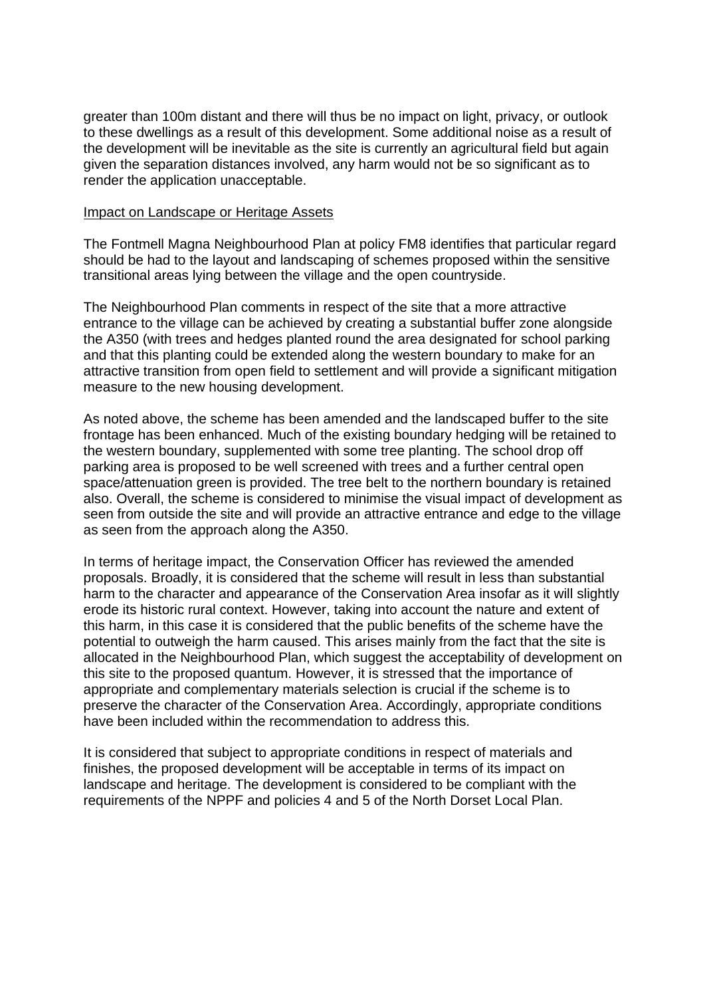greater than 100m distant and there will thus be no impact on light, privacy, or outlook to these dwellings as a result of this development. Some additional noise as a result of the development will be inevitable as the site is currently an agricultural field but again given the separation distances involved, any harm would not be so significant as to render the application unacceptable.

#### Impact on Landscape or Heritage Assets

The Fontmell Magna Neighbourhood Plan at policy FM8 identifies that particular regard should be had to the layout and landscaping of schemes proposed within the sensitive transitional areas lying between the village and the open countryside.

The Neighbourhood Plan comments in respect of the site that a more attractive entrance to the village can be achieved by creating a substantial buffer zone alongside the A350 (with trees and hedges planted round the area designated for school parking and that this planting could be extended along the western boundary to make for an attractive transition from open field to settlement and will provide a significant mitigation measure to the new housing development.

As noted above, the scheme has been amended and the landscaped buffer to the site frontage has been enhanced. Much of the existing boundary hedging will be retained to the western boundary, supplemented with some tree planting. The school drop off parking area is proposed to be well screened with trees and a further central open space/attenuation green is provided. The tree belt to the northern boundary is retained also. Overall, the scheme is considered to minimise the visual impact of development as seen from outside the site and will provide an attractive entrance and edge to the village as seen from the approach along the A350.

In terms of heritage impact, the Conservation Officer has reviewed the amended proposals. Broadly, it is considered that the scheme will result in less than substantial harm to the character and appearance of the Conservation Area insofar as it will slightly erode its historic rural context. However, taking into account the nature and extent of this harm, in this case it is considered that the public benefits of the scheme have the potential to outweigh the harm caused. This arises mainly from the fact that the site is allocated in the Neighbourhood Plan, which suggest the acceptability of development on this site to the proposed quantum. However, it is stressed that the importance of appropriate and complementary materials selection is crucial if the scheme is to preserve the character of the Conservation Area. Accordingly, appropriate conditions have been included within the recommendation to address this.

It is considered that subject to appropriate conditions in respect of materials and finishes, the proposed development will be acceptable in terms of its impact on landscape and heritage. The development is considered to be compliant with the requirements of the NPPF and policies 4 and 5 of the North Dorset Local Plan.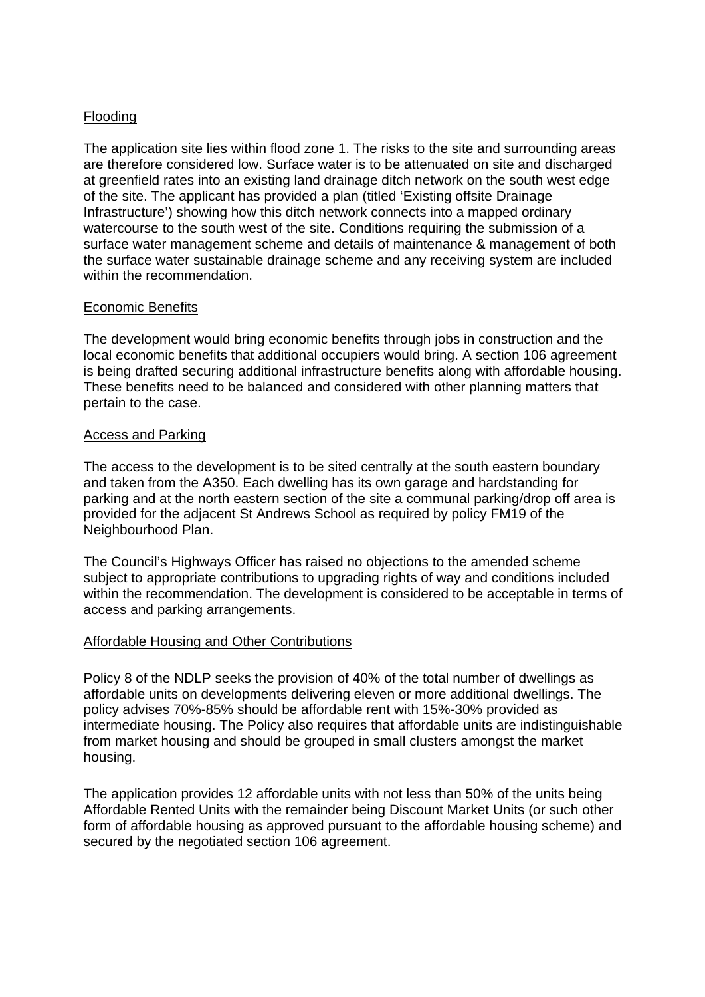## Flooding

The application site lies within flood zone 1. The risks to the site and surrounding areas are therefore considered low. Surface water is to be attenuated on site and discharged at greenfield rates into an existing land drainage ditch network on the south west edge of the site. The applicant has provided a plan (titled 'Existing offsite Drainage Infrastructure') showing how this ditch network connects into a mapped ordinary watercourse to the south west of the site. Conditions requiring the submission of a surface water management scheme and details of maintenance & management of both the surface water sustainable drainage scheme and any receiving system are included within the recommendation.

### Economic Benefits

The development would bring economic benefits through jobs in construction and the local economic benefits that additional occupiers would bring. A section 106 agreement is being drafted securing additional infrastructure benefits along with affordable housing. These benefits need to be balanced and considered with other planning matters that pertain to the case.

### Access and Parking

The access to the development is to be sited centrally at the south eastern boundary and taken from the A350. Each dwelling has its own garage and hardstanding for parking and at the north eastern section of the site a communal parking/drop off area is provided for the adjacent St Andrews School as required by policy FM19 of the Neighbourhood Plan.

The Council's Highways Officer has raised no objections to the amended scheme subject to appropriate contributions to upgrading rights of way and conditions included within the recommendation. The development is considered to be acceptable in terms of access and parking arrangements.

## Affordable Housing and Other Contributions

Policy 8 of the NDLP seeks the provision of 40% of the total number of dwellings as affordable units on developments delivering eleven or more additional dwellings. The policy advises 70%-85% should be affordable rent with 15%-30% provided as intermediate housing. The Policy also requires that affordable units are indistinguishable from market housing and should be grouped in small clusters amongst the market housing.

The application provides 12 affordable units with not less than 50% of the units being Affordable Rented Units with the remainder being Discount Market Units (or such other form of affordable housing as approved pursuant to the affordable housing scheme) and secured by the negotiated section 106 agreement.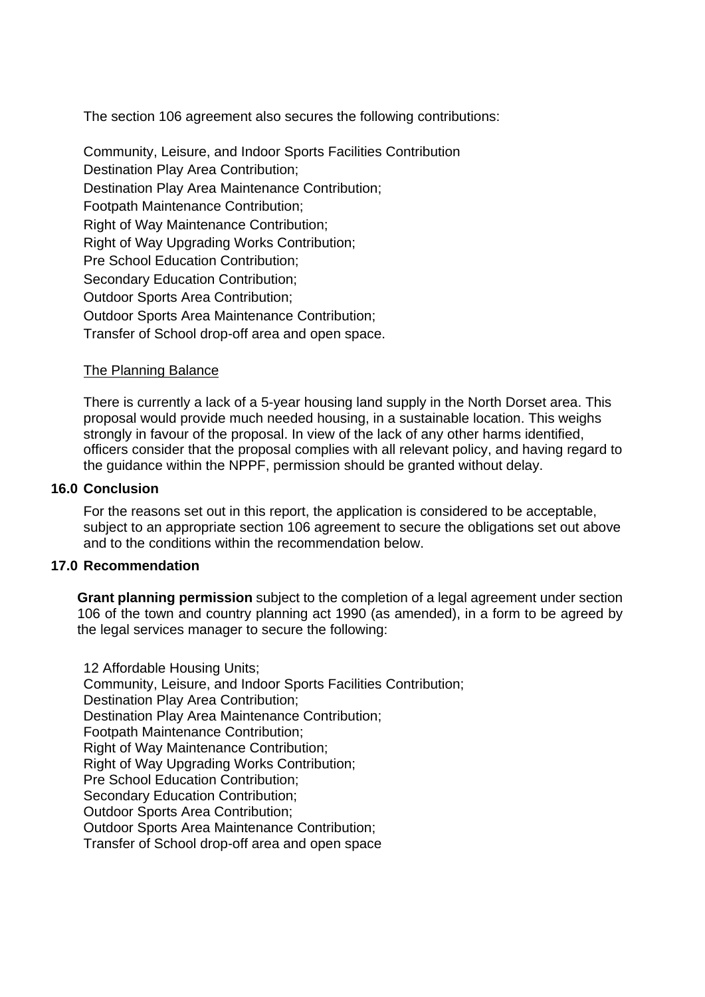The section 106 agreement also secures the following contributions:

Community, Leisure, and Indoor Sports Facilities Contribution Destination Play Area Contribution; Destination Play Area Maintenance Contribution; Footpath Maintenance Contribution; Right of Way Maintenance Contribution; Right of Way Upgrading Works Contribution; Pre School Education Contribution; Secondary Education Contribution; Outdoor Sports Area Contribution; Outdoor Sports Area Maintenance Contribution; Transfer of School drop-off area and open space.

#### The Planning Balance

There is currently a lack of a 5-year housing land supply in the North Dorset area. This proposal would provide much needed housing, in a sustainable location. This weighs strongly in favour of the proposal. In view of the lack of any other harms identified, officers consider that the proposal complies with all relevant policy, and having regard to the guidance within the NPPF, permission should be granted without delay.

#### **16.0 Conclusion**

For the reasons set out in this report, the application is considered to be acceptable, subject to an appropriate section 106 agreement to secure the obligations set out above and to the conditions within the recommendation below.

### **17.0 Recommendation**

**Grant planning permission** subject to the completion of a legal agreement under section 106 of the town and country planning act 1990 (as amended), in a form to be agreed by the legal services manager to secure the following:

12 Affordable Housing Units; Community, Leisure, and Indoor Sports Facilities Contribution; Destination Play Area Contribution; Destination Play Area Maintenance Contribution; Footpath Maintenance Contribution; Right of Way Maintenance Contribution; Right of Way Upgrading Works Contribution; Pre School Education Contribution; Secondary Education Contribution; Outdoor Sports Area Contribution; Outdoor Sports Area Maintenance Contribution; Transfer of School drop-off area and open space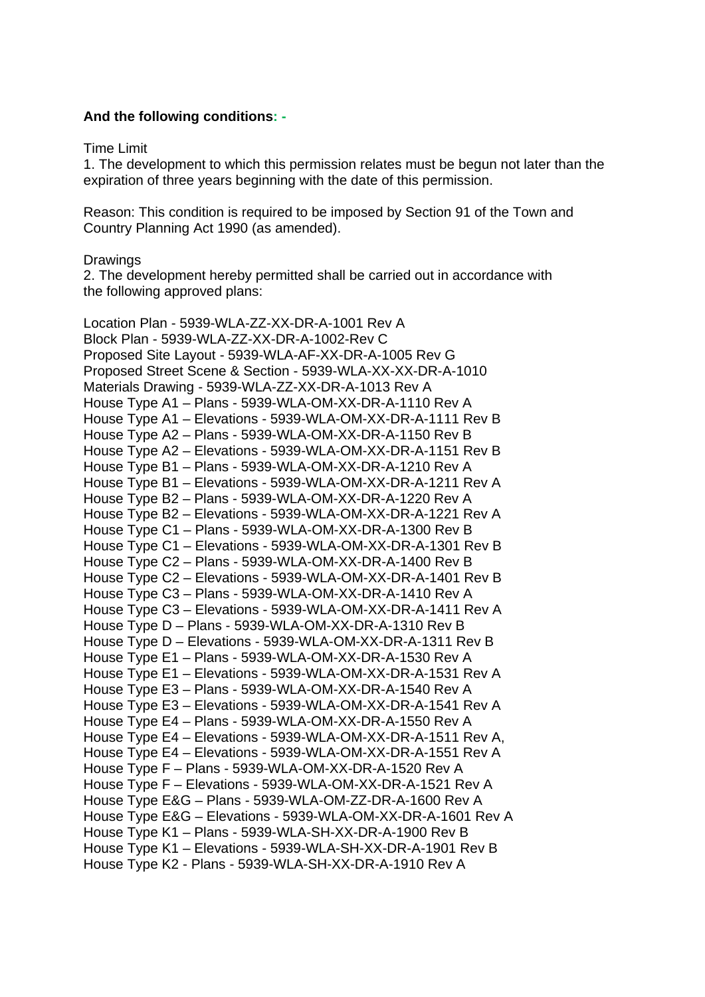### **And the following conditions: -**

Time Limit

1. The development to which this permission relates must be begun not later than the expiration of three years beginning with the date of this permission.

Reason: This condition is required to be imposed by Section 91 of the Town and Country Planning Act 1990 (as amended).

#### **Drawings**

2. The development hereby permitted shall be carried out in accordance with the following approved plans:

Location Plan - 5939-WLA-ZZ-XX-DR-A-1001 Rev A Block Plan - 5939-WLA-ZZ-XX-DR-A-1002-Rev C Proposed Site Layout - 5939-WLA-AF-XX-DR-A-1005 Rev G Proposed Street Scene & Section - 5939-WLA-XX-XX-DR-A-1010 Materials Drawing - 5939-WLA-ZZ-XX-DR-A-1013 Rev A House Type A1 – Plans - 5939-WLA-OM-XX-DR-A-1110 Rev A House Type A1 – Elevations - 5939-WLA-OM-XX-DR-A-1111 Rev B House Type A2 – Plans - 5939-WLA-OM-XX-DR-A-1150 Rev B House Type A2 – Elevations - 5939-WLA-OM-XX-DR-A-1151 Rev B House Type B1 – Plans - 5939-WLA-OM-XX-DR-A-1210 Rev A House Type B1 – Elevations - 5939-WLA-OM-XX-DR-A-1211 Rev A House Type B2 – Plans - 5939-WLA-OM-XX-DR-A-1220 Rev A House Type B2 – Elevations - 5939-WLA-OM-XX-DR-A-1221 Rev A House Type C1 – Plans - 5939-WLA-OM-XX-DR-A-1300 Rev B House Type C1 – Elevations - 5939-WLA-OM-XX-DR-A-1301 Rev B House Type C2 – Plans - 5939-WLA-OM-XX-DR-A-1400 Rev B House Type C2 – Elevations - 5939-WLA-OM-XX-DR-A-1401 Rev B House Type C3 – Plans - 5939-WLA-OM-XX-DR-A-1410 Rev A House Type C3 – Elevations - 5939-WLA-OM-XX-DR-A-1411 Rev A House Type D – Plans - 5939-WLA-OM-XX-DR-A-1310 Rev B House Type D – Elevations - 5939-WLA-OM-XX-DR-A-1311 Rev B House Type E1 – Plans - 5939-WLA-OM-XX-DR-A-1530 Rev A House Type E1 – Elevations - 5939-WLA-OM-XX-DR-A-1531 Rev A House Type E3 – Plans - 5939-WLA-OM-XX-DR-A-1540 Rev A House Type E3 – Elevations - 5939-WLA-OM-XX-DR-A-1541 Rev A House Type E4 – Plans - 5939-WLA-OM-XX-DR-A-1550 Rev A House Type E4 – Elevations - 5939-WLA-OM-XX-DR-A-1511 Rev A, House Type E4 – Elevations - 5939-WLA-OM-XX-DR-A-1551 Rev A House Type F – Plans - 5939-WLA-OM-XX-DR-A-1520 Rev A House Type F – Elevations - 5939-WLA-OM-XX-DR-A-1521 Rev A House Type E&G – Plans - 5939-WLA-OM-ZZ-DR-A-1600 Rev A House Type E&G – Elevations - 5939-WLA-OM-XX-DR-A-1601 Rev A House Type K1 – Plans - 5939-WLA-SH-XX-DR-A-1900 Rev B House Type K1 – Elevations - 5939-WLA-SH-XX-DR-A-1901 Rev B House Type K2 - Plans - 5939-WLA-SH-XX-DR-A-1910 Rev A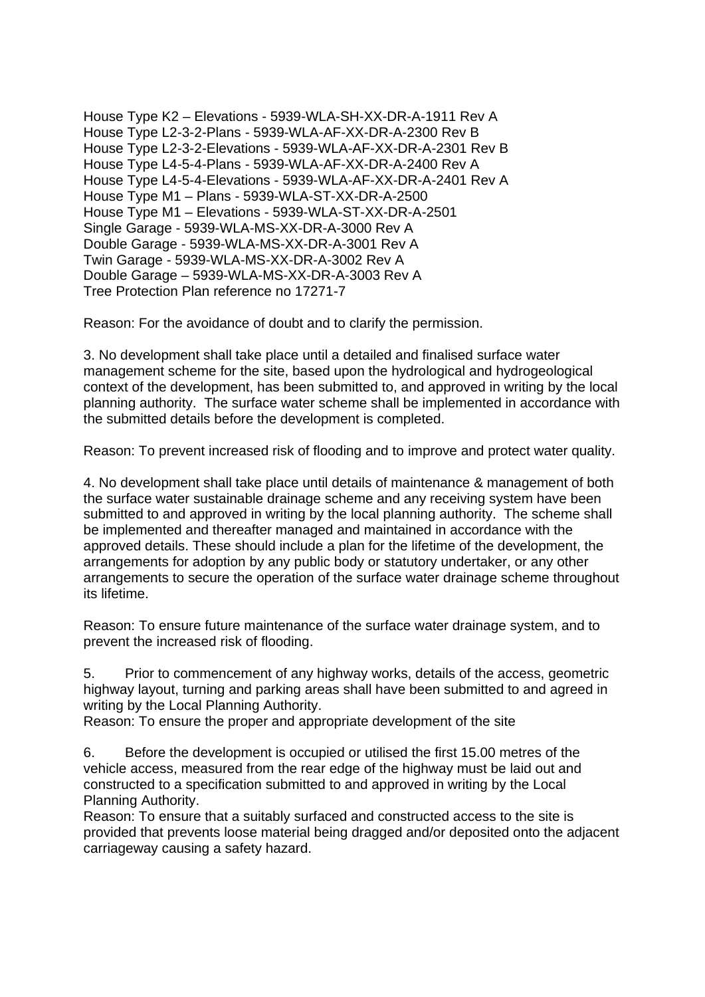House Type K2 – Elevations - 5939-WLA-SH-XX-DR-A-1911 Rev A House Type L2-3-2-Plans - 5939-WLA-AF-XX-DR-A-2300 Rev B House Type L2-3-2-Elevations - 5939-WLA-AF-XX-DR-A-2301 Rev B House Type L4-5-4-Plans - 5939-WLA-AF-XX-DR-A-2400 Rev A House Type L4-5-4-Elevations - 5939-WLA-AF-XX-DR-A-2401 Rev A House Type M1 – Plans - 5939-WLA-ST-XX-DR-A-2500 House Type M1 – Elevations - 5939-WLA-ST-XX-DR-A-2501 Single Garage - 5939-WLA-MS-XX-DR-A-3000 Rev A Double Garage - 5939-WLA-MS-XX-DR-A-3001 Rev A Twin Garage - 5939-WLA-MS-XX-DR-A-3002 Rev A Double Garage – 5939-WLA-MS-XX-DR-A-3003 Rev A Tree Protection Plan reference no 17271-7

Reason: For the avoidance of doubt and to clarify the permission.

3. No development shall take place until a detailed and finalised surface water management scheme for the site, based upon the hydrological and hydrogeological context of the development, has been submitted to, and approved in writing by the local planning authority. The surface water scheme shall be implemented in accordance with the submitted details before the development is completed.

Reason: To prevent increased risk of flooding and to improve and protect water quality.

4. No development shall take place until details of maintenance & management of both the surface water sustainable drainage scheme and any receiving system have been submitted to and approved in writing by the local planning authority. The scheme shall be implemented and thereafter managed and maintained in accordance with the approved details. These should include a plan for the lifetime of the development, the arrangements for adoption by any public body or statutory undertaker, or any other arrangements to secure the operation of the surface water drainage scheme throughout its lifetime.

Reason: To ensure future maintenance of the surface water drainage system, and to prevent the increased risk of flooding.

5. Prior to commencement of any highway works, details of the access, geometric highway layout, turning and parking areas shall have been submitted to and agreed in writing by the Local Planning Authority.

Reason: To ensure the proper and appropriate development of the site

6. Before the development is occupied or utilised the first 15.00 metres of the vehicle access, measured from the rear edge of the highway must be laid out and constructed to a specification submitted to and approved in writing by the Local Planning Authority.

Reason: To ensure that a suitably surfaced and constructed access to the site is provided that prevents loose material being dragged and/or deposited onto the adjacent carriageway causing a safety hazard.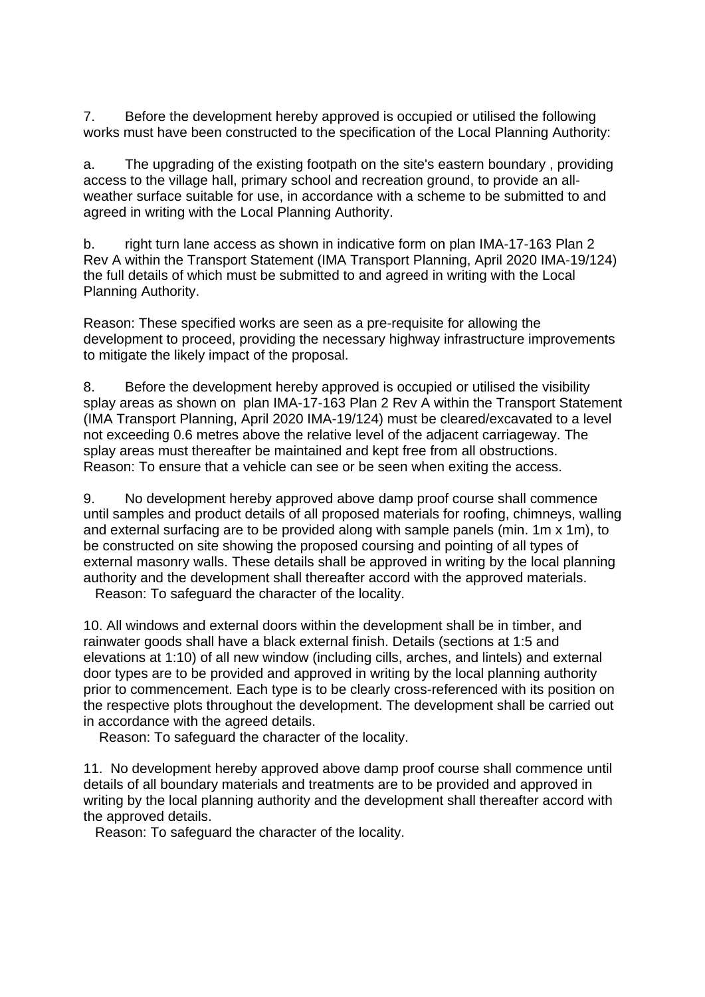7. Before the development hereby approved is occupied or utilised the following works must have been constructed to the specification of the Local Planning Authority:

a. The upgrading of the existing footpath on the site's eastern boundary , providing access to the village hall, primary school and recreation ground, to provide an allweather surface suitable for use, in accordance with a scheme to be submitted to and agreed in writing with the Local Planning Authority.

b. right turn lane access as shown in indicative form on plan IMA-17-163 Plan 2 Rev A within the Transport Statement (IMA Transport Planning, April 2020 IMA-19/124) the full details of which must be submitted to and agreed in writing with the Local Planning Authority.

Reason: These specified works are seen as a pre-requisite for allowing the development to proceed, providing the necessary highway infrastructure improvements to mitigate the likely impact of the proposal.

8. Before the development hereby approved is occupied or utilised the visibility splay areas as shown on plan IMA-17-163 Plan 2 Rev A within the Transport Statement (IMA Transport Planning, April 2020 IMA-19/124) must be cleared/excavated to a level not exceeding 0.6 metres above the relative level of the adjacent carriageway. The splay areas must thereafter be maintained and kept free from all obstructions. Reason: To ensure that a vehicle can see or be seen when exiting the access.

9. No development hereby approved above damp proof course shall commence until samples and product details of all proposed materials for roofing, chimneys, walling and external surfacing are to be provided along with sample panels (min. 1m x 1m), to be constructed on site showing the proposed coursing and pointing of all types of external masonry walls. These details shall be approved in writing by the local planning authority and the development shall thereafter accord with the approved materials.

Reason: To safeguard the character of the locality.

10. All windows and external doors within the development shall be in timber, and rainwater goods shall have a black external finish. Details (sections at 1:5 and elevations at 1:10) of all new window (including cills, arches, and lintels) and external door types are to be provided and approved in writing by the local planning authority prior to commencement. Each type is to be clearly cross-referenced with its position on the respective plots throughout the development. The development shall be carried out in accordance with the agreed details.

Reason: To safeguard the character of the locality.

11. No development hereby approved above damp proof course shall commence until details of all boundary materials and treatments are to be provided and approved in writing by the local planning authority and the development shall thereafter accord with the approved details.

Reason: To safeguard the character of the locality.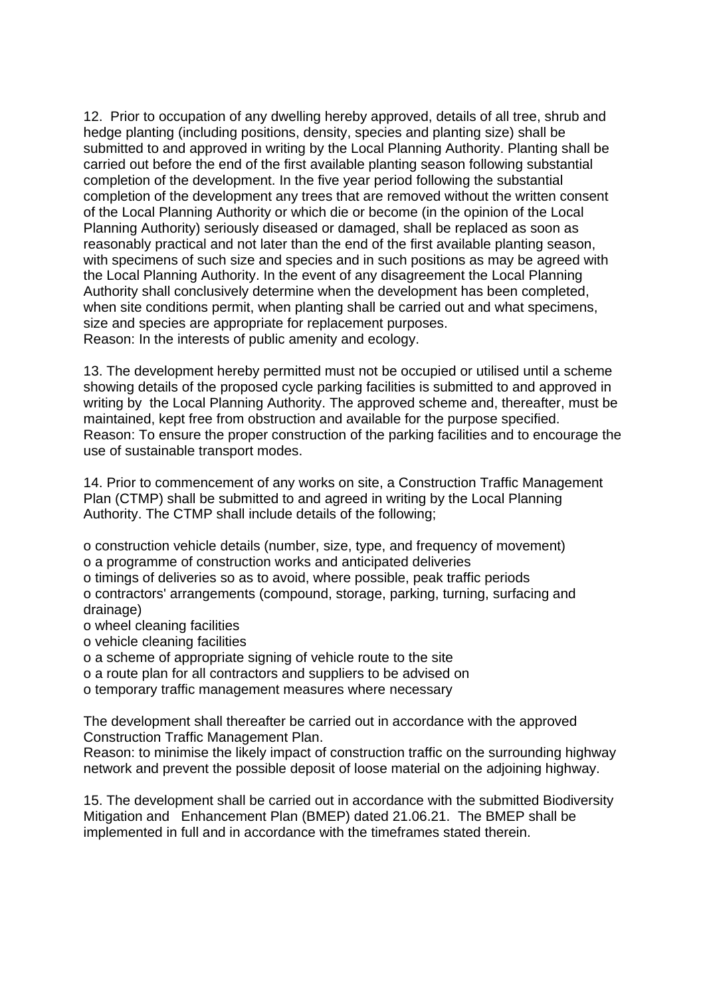12. Prior to occupation of any dwelling hereby approved, details of all tree, shrub and hedge planting (including positions, density, species and planting size) shall be submitted to and approved in writing by the Local Planning Authority. Planting shall be carried out before the end of the first available planting season following substantial completion of the development. In the five year period following the substantial completion of the development any trees that are removed without the written consent of the Local Planning Authority or which die or become (in the opinion of the Local Planning Authority) seriously diseased or damaged, shall be replaced as soon as reasonably practical and not later than the end of the first available planting season, with specimens of such size and species and in such positions as may be agreed with the Local Planning Authority. In the event of any disagreement the Local Planning Authority shall conclusively determine when the development has been completed, when site conditions permit, when planting shall be carried out and what specimens, size and species are appropriate for replacement purposes. Reason: In the interests of public amenity and ecology.

13. The development hereby permitted must not be occupied or utilised until a scheme showing details of the proposed cycle parking facilities is submitted to and approved in writing by the Local Planning Authority. The approved scheme and, thereafter, must be maintained, kept free from obstruction and available for the purpose specified. Reason: To ensure the proper construction of the parking facilities and to encourage the use of sustainable transport modes.

14. Prior to commencement of any works on site, a Construction Traffic Management Plan (CTMP) shall be submitted to and agreed in writing by the Local Planning Authority. The CTMP shall include details of the following;

o construction vehicle details (number, size, type, and frequency of movement) o a programme of construction works and anticipated deliveries

o timings of deliveries so as to avoid, where possible, peak traffic periods

o contractors' arrangements (compound, storage, parking, turning, surfacing and drainage)

- o wheel cleaning facilities
- o vehicle cleaning facilities
- o a scheme of appropriate signing of vehicle route to the site
- o a route plan for all contractors and suppliers to be advised on

o temporary traffic management measures where necessary

The development shall thereafter be carried out in accordance with the approved Construction Traffic Management Plan.

Reason: to minimise the likely impact of construction traffic on the surrounding highway network and prevent the possible deposit of loose material on the adjoining highway.

15. The development shall be carried out in accordance with the submitted Biodiversity Mitigation and Enhancement Plan (BMEP) dated 21.06.21. The BMEP shall be implemented in full and in accordance with the timeframes stated therein.